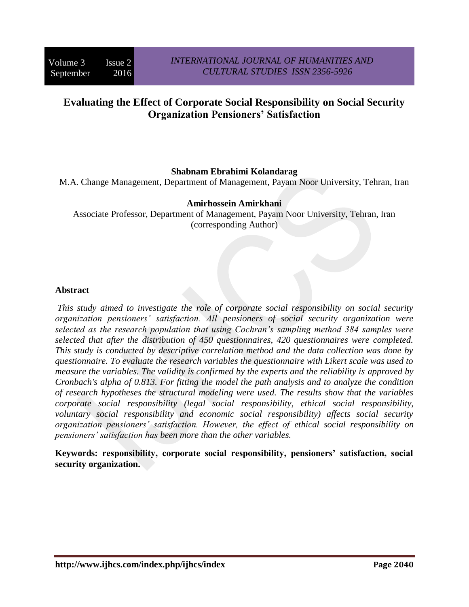# **Evaluating the Effect of Corporate Social Responsibility on Social Security Organization Pensioners' Satisfaction**

### **Shabnam Ebrahimi Kolandarag**

M.A. Change Management, Department of Management, Payam Noor University, Tehran, Iran

#### **Amirhossein Amirkhani**

Associate Professor, Department of Management, Payam Noor University, Tehran, Iran (corresponding Author)

#### **Abstract**

*This study aimed to investigate the role of corporate social responsibility on social security organization pensioners' satisfaction. All pensioners of social security organization were selected as the research population that using Cochran's sampling method 384 samples were selected that after the distribution of 450 questionnaires, 420 questionnaires were completed. This study is conducted by descriptive correlation method and the data collection was done by questionnaire. To evaluate the research variables the questionnaire with Likert scale was used to measure the variables. The validity is confirmed by the experts and the reliability is approved by Cronbach's alpha of 0.813. For fitting the model the path analysis and to analyze the condition of research hypotheses the structural modeling were used. The results show that the variables corporate social responsibility (legal social responsibility, ethical social responsibility, voluntary social responsibility and economic social responsibility) affects social security organization pensioners' satisfaction. However, the effect of ethical social responsibility on pensioners' satisfaction has been more than the other variables.* 

**Keywords: responsibility, corporate social responsibility, pensioners' satisfaction, social security organization.**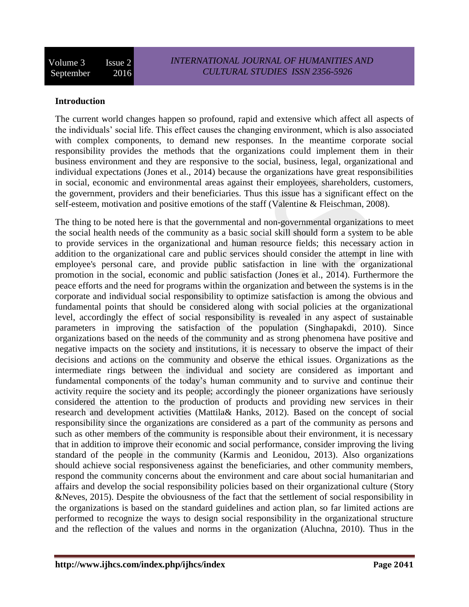### **Introduction**

The current world changes happen so profound, rapid and extensive which affect all aspects of the individuals' social life. This effect causes the changing environment, which is also associated with complex components, to demand new responses. In the meantime corporate social responsibility provides the methods that the organizations could implement them in their business environment and they are responsive to the social, business, legal, organizational and individual expectations (Jones et al., 2014) because the organizations have great responsibilities in social, economic and environmental areas against their employees, shareholders, customers, the government, providers and their beneficiaries. Thus this issue has a significant effect on the self-esteem, motivation and positive emotions of the staff (Valentine & Fleischman, 2008).

The thing to be noted here is that the governmental and non-governmental organizations to meet the social health needs of the community as a basic social skill should form a system to be able to provide services in the organizational and human resource fields; this necessary action in addition to the organizational care and public services should consider the attempt in line with employee's personal care, and provide public satisfaction in line with the organizational promotion in the social, economic and public satisfaction (Jones et al., 2014). Furthermore the peace efforts and the need for programs within the organization and between the systems is in the corporate and individual social responsibility to optimize satisfaction is among the obvious and fundamental points that should be considered along with social policies at the organizational level, accordingly the effect of social responsibility is revealed in any aspect of sustainable parameters in improving the satisfaction of the population (Singhapakdi, 2010). Since organizations based on the needs of the community and as strong phenomena have positive and negative impacts on the society and institutions, it is necessary to observe the impact of their decisions and actions on the community and observe the ethical issues. Organizations as the intermediate rings between the individual and society are considered as important and fundamental components of the today's human community and to survive and continue their activity require the society and its people; accordingly the pioneer organizations have seriously considered the attention to the production of products and providing new services in their research and development activities (Mattila& Hanks, 2012). Based on the concept of social responsibility since the organizations are considered as a part of the community as persons and such as other members of the community is responsible about their environment, it is necessary that in addition to improve their economic and social performance, consider improving the living standard of the people in the community (Karmis and Leonidou, 2013). Also organizations should achieve social responsiveness against the beneficiaries, and other community members, respond the community concerns about the environment and care about social humanitarian and affairs and develop the social responsibility policies based on their organizational culture (Story &Neves, 2015). Despite the obviousness of the fact that the settlement of social responsibility in the organizations is based on the standard guidelines and action plan, so far limited actions are performed to recognize the ways to design social responsibility in the organizational structure and the reflection of the values and norms in the organization (Aluchna, 2010). Thus in the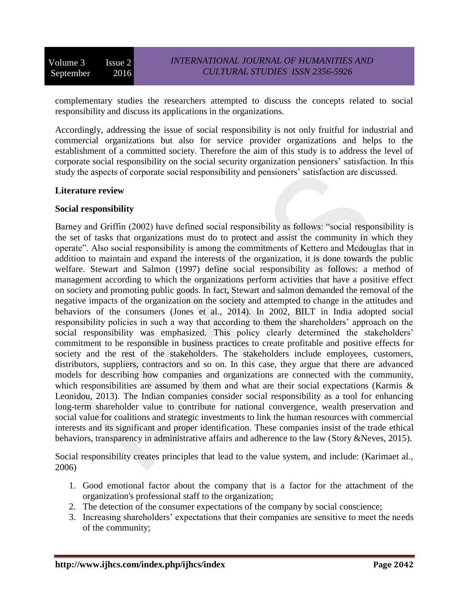complementary studies the researchers attempted to discuss the concepts related to social responsibility and discuss its applications in the organizations.

Accordingly, addressing the issue of social responsibility is not only fruitful for industrial and commercial organizations but also for service provider organizations and helps to the establishment of a committed society. Therefore the aim of this study is to address the level of corporate social responsibility on the social security organization pensioners' satisfaction. In this study the aspects of corporate social responsibility and pensioners' satisfaction are discussed.

### **Literature review**

### **Social responsibility**

Barney and Griffin (2002) have defined social responsibility as follows: "social responsibility is the set of tasks that organizations must do to protect and assist the community in which they operate". Also social responsibility is among the commitments of Kettero and Mcdouglas that in addition to maintain and expand the interests of the organization, it is done towards the public welfare. Stewart and Salmon (1997) define social responsibility as follows: a method of management according to which the organizations perform activities that have a positive effect on society and promoting public goods. In fact, Stewart and salmon demanded the removal of the negative impacts of the organization on the society and attempted to change in the attitudes and behaviors of the consumers (Jones et al., 2014). In 2002, BILT in India adopted social responsibility policies in such a way that according to them the shareholders' approach on the social responsibility was emphasized. This policy clearly determined the stakeholders' commitment to be responsible in business practices to create profitable and positive effects for society and the rest of the stakeholders. The stakeholders include employees, customers, distributors, suppliers, contractors and so on. In this case, they argue that there are advanced models for describing how companies and organizations are connected with the community, which responsibilities are assumed by them and what are their social expectations (Karmis & Leonidou, 2013). The Indian companies consider social responsibility as a tool for enhancing long-term shareholder value to contribute for national convergence, wealth preservation and social value for coalitions and strategic investments to link the human resources with commercial interests and its significant and proper identification. These companies insist of the trade ethical behaviors, transparency in administrative affairs and adherence to the law (Story &Neves, 2015).

Social responsibility creates principles that lead to the value system, and include: (Karimaet al., 2006)

- 1. Good emotional factor about the company that is a factor for the attachment of the organization's professional staff to the organization;
- 2. The detection of the consumer expectations of the company by social conscience;
- 3. Increasing shareholders' expectations that their companies are sensitive to meet the needs of the community;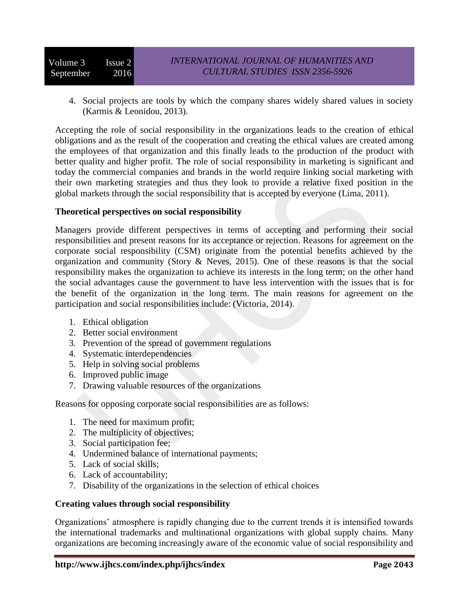4. Social projects are tools by which the company shares widely shared values in society (Karmis & Leonidou, 2013).

Accepting the role of social responsibility in the organizations leads to the creation of ethical obligations and as the result of the cooperation and creating the ethical values are created among the employees of that organization and this finally leads to the production of the product with better quality and higher profit. The role of social responsibility in marketing is significant and today the commercial companies and brands in the world require linking social marketing with their own marketing strategies and thus they look to provide a relative fixed position in the global markets through the social responsibility that is accepted by everyone (Lima, 2011).

### **Theoretical perspectives on social responsibility**

Managers provide different perspectives in terms of accepting and performing their social responsibilities and present reasons for its acceptance or rejection. Reasons for agreement on the corporate social responsibility (CSM) originate from the potential benefits achieved by the organization and community (Story & Neves, 2015). One of these reasons is that the social responsibility makes the organization to achieve its interests in the long term; on the other hand the social advantages cause the government to have less intervention with the issues that is for the benefit of the organization in the long term. The main reasons for agreement on the participation and social responsibilities include: (Victoria, 2014).

- 1. Ethical obligation
- 2. Better social environment
- 3. Prevention of the spread of government regulations
- 4. Systematic interdependencies
- 5. Help in solving social problems
- 6. Improved public image
- 7. Drawing valuable resources of the organizations

Reasons for opposing corporate social responsibilities are as follows:

- 1. The need for maximum profit;
- 2. The multiplicity of objectives;
- 3. Social participation fee;
- 4. Undermined balance of international payments;
- 5. Lack of social skills;
- 6. Lack of accountability;
- 7. Disability of the organizations in the selection of ethical choices

### **Creating values through social responsibility**

Organizations' atmosphere is rapidly changing due to the current trends it is intensified towards the international trademarks and multinational organizations with global supply chains. Many organizations are becoming increasingly aware of the economic value of social responsibility and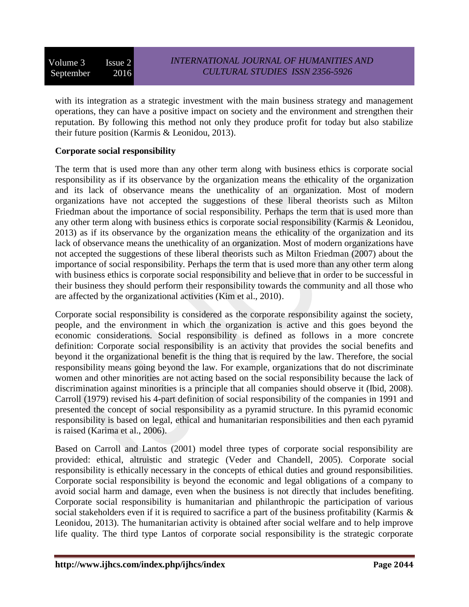Volume 3 Issue 2 September 2016

with its integration as a strategic investment with the main business strategy and management operations, they can have a positive impact on society and the environment and strengthen their reputation. By following this method not only they produce profit for today but also stabilize their future position (Karmis & Leonidou, 2013).

# **Corporate social responsibility**

The term that is used more than any other term along with business ethics is corporate social responsibility as if its observance by the organization means the ethicality of the organization and its lack of observance means the unethicality of an organization. Most of modern organizations have not accepted the suggestions of these liberal theorists such as Milton Friedman about the importance of social responsibility. Perhaps the term that is used more than any other term along with business ethics is corporate social responsibility (Karmis & Leonidou, 2013) as if its observance by the organization means the ethicality of the organization and its lack of observance means the unethicality of an organization. Most of modern organizations have not accepted the suggestions of these liberal theorists such as Milton Friedman (2007) about the importance of social responsibility. Perhaps the term that is used more than any other term along with business ethics is corporate social responsibility and believe that in order to be successful in their business they should perform their responsibility towards the community and all those who are affected by the organizational activities (Kim et al., 2010).

Corporate social responsibility is considered as the corporate responsibility against the society, people, and the environment in which the organization is active and this goes beyond the economic considerations. Social responsibility is defined as follows in a more concrete definition: Corporate social responsibility is an activity that provides the social benefits and beyond it the organizational benefit is the thing that is required by the law. Therefore, the social responsibility means going beyond the law. For example, organizations that do not discriminate women and other minorities are not acting based on the social responsibility because the lack of discrimination against minorities is a principle that all companies should observe it (Ibid, 2008). Carroll (1979) revised his 4-part definition of social responsibility of the companies in 1991 and presented the concept of social responsibility as a pyramid structure. In this pyramid economic responsibility is based on legal, ethical and humanitarian responsibilities and then each pyramid is raised (Karima et al., 2006).

Based on Carroll and Lantos (2001) model three types of corporate social responsibility are provided: ethical, altruistic and strategic (Veder and Chandell, 2005). Corporate social responsibility is ethically necessary in the concepts of ethical duties and ground responsibilities. Corporate social responsibility is beyond the economic and legal obligations of a company to avoid social harm and damage, even when the business is not directly that includes benefiting. Corporate social responsibility is humanitarian and philanthropic the participation of various social stakeholders even if it is required to sacrifice a part of the business profitability (Karmis & Leonidou, 2013). The humanitarian activity is obtained after social welfare and to help improve life quality. The third type Lantos of corporate social responsibility is the strategic corporate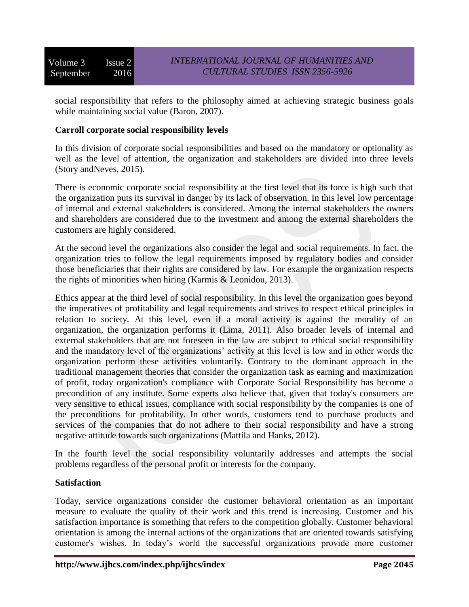social responsibility that refers to the philosophy aimed at achieving strategic business goals while maintaining social value (Baron, 2007).

### **Carroll corporate social responsibility levels**

In this division of corporate social responsibilities and based on the mandatory or optionality as well as the level of attention, the organization and stakeholders are divided into three levels (Story andNeves, 2015).

There is economic corporate social responsibility at the first level that its force is high such that the organization puts its survival in danger by its lack of observation. In this level low percentage of internal and external stakeholders is considered. Among the internal stakeholders the owners and shareholders are considered due to the investment and among the external shareholders the customers are highly considered.

At the second level the organizations also consider the legal and social requirements. In fact, the organization tries to follow the legal requirements imposed by regulatory bodies and consider those beneficiaries that their rights are considered by law. For example the organization respects the rights of minorities when hiring (Karmis & Leonidou, 2013).

Ethics appear at the third level of social responsibility. In this level the organization goes beyond the imperatives of profitability and legal requirements and strives to respect ethical principles in relation to society. At this level, even if a moral activity is against the morality of an organization, the organization performs it (Lima, 2011). Also broader levels of internal and external stakeholders that are not foreseen in the law are subject to ethical social responsibility and the mandatory level of the organizations' activity at this level is low and in other words the organization perform these activities voluntarily. Contrary to the dominant approach in the traditional management theories that consider the organization task as earning and maximization of profit, today organization's compliance with Corporate Social Responsibility has become a precondition of any institute. Some experts also believe that, given that today's consumers are very sensitive to ethical issues, compliance with social responsibility by the companies is one of the preconditions for profitability. In other words, customers tend to purchase products and services of the companies that do not adhere to their social responsibility and have a strong negative attitude towards such organizations (Mattila and Hanks, 2012).

In the fourth level the social responsibility voluntarily addresses and attempts the social problems regardless of the personal profit or interests for the company.

### **Satisfaction**

Today, service organizations consider the customer behavioral orientation as an important measure to evaluate the quality of their work and this trend is increasing. Customer and his satisfaction importance is something that refers to the competition globally. Customer behavioral orientation is among the internal actions of the organizations that are oriented towards satisfying customer's wishes. In today's world the successful organizations provide more customer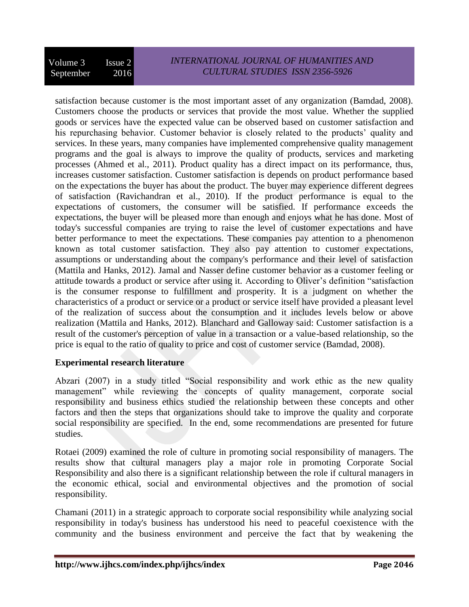satisfaction because customer is the most important asset of any organization (Bamdad, 2008). Customers choose the products or services that provide the most value. Whether the supplied goods or services have the expected value can be observed based on customer satisfaction and his repurchasing behavior. Customer behavior is closely related to the products' quality and services. In these years, many companies have implemented comprehensive quality management programs and the goal is always to improve the quality of products, services and marketing processes (Ahmed et al., 2011). Product quality has a direct impact on its performance, thus, increases customer satisfaction. Customer satisfaction is depends on product performance based on the expectations the buyer has about the product. The buyer may experience different degrees of satisfaction (Ravichandran et al., 2010). If the product performance is equal to the expectations of customers, the consumer will be satisfied. If performance exceeds the expectations, the buyer will be pleased more than enough and enjoys what he has done. Most of today's successful companies are trying to raise the level of customer expectations and have better performance to meet the expectations. These companies pay attention to a phenomenon known as total customer satisfaction. They also pay attention to customer expectations, assumptions or understanding about the company's performance and their level of satisfaction (Mattila and Hanks, 2012). Jamal and Nasser define customer behavior as a customer feeling or attitude towards a product or service after using it. According to Oliver's definition "satisfaction is the consumer response to fulfillment and prosperity. It is a judgment on whether the characteristics of a product or service or a product or service itself have provided a pleasant level of the realization of success about the consumption and it includes levels below or above realization (Mattila and Hanks, 2012). Blanchard and Galloway said: Customer satisfaction is a result of the customer's perception of value in a transaction or a value-based relationship, so the price is equal to the ratio of quality to price and cost of customer service (Bamdad, 2008).

# **Experimental research literature**

Abzari (2007) in a study titled "Social responsibility and work ethic as the new quality management" while reviewing the concepts of quality management, corporate social responsibility and business ethics studied the relationship between these concepts and other factors and then the steps that organizations should take to improve the quality and corporate social responsibility are specified. In the end, some recommendations are presented for future studies.

Rotaei (2009) examined the role of culture in promoting social responsibility of managers. The results show that cultural managers play a major role in promoting Corporate Social Responsibility and also there is a significant relationship between the role if cultural managers in the economic ethical, social and environmental objectives and the promotion of social responsibility.

Chamani (2011) in a strategic approach to corporate social responsibility while analyzing social responsibility in today's business has understood his need to peaceful coexistence with the community and the business environment and perceive the fact that by weakening the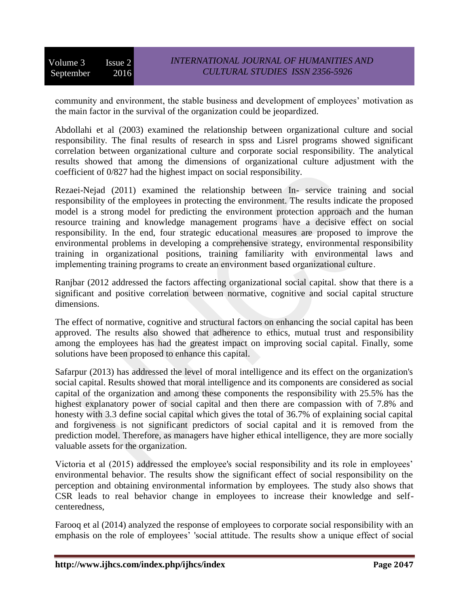community and environment, the stable business and development of employees' motivation as the main factor in the survival of the organization could be jeopardized.

Abdollahi et al (2003) examined the relationship between organizational culture and social responsibility. The final results of research in spss and Lisrel programs showed significant correlation between organizational culture and corporate social responsibility. The analytical results showed that among the dimensions of organizational culture adjustment with the coefficient of 0/827 had the highest impact on social responsibility.

Rezaei-Nejad (2011) examined the relationship between In- service training and social responsibility of the employees in protecting the environment. The results indicate the proposed model is a strong model for predicting the environment protection approach and the human resource training and knowledge management programs have a decisive effect on social responsibility. In the end, four strategic educational measures are proposed to improve the environmental problems in developing a comprehensive strategy, environmental responsibility training in organizational positions, training familiarity with environmental laws and implementing training programs to create an environment based organizational culture.

Ranjbar (2012 addressed the factors affecting organizational social capital. show that there is a significant and positive correlation between normative, cognitive and social capital structure dimensions.

The effect of normative, cognitive and structural factors on enhancing the social capital has been approved. The results also showed that adherence to ethics, mutual trust and responsibility among the employees has had the greatest impact on improving social capital. Finally, some solutions have been proposed to enhance this capital.

Safarpur (2013) has addressed the level of moral intelligence and its effect on the organization's social capital. Results showed that moral intelligence and its components are considered as social capital of the organization and among these components the responsibility with 25.5% has the highest explanatory power of social capital and then there are compassion with of 7.8% and honesty with 3.3 define social capital which gives the total of 36.7% of explaining social capital and forgiveness is not significant predictors of social capital and it is removed from the prediction model. Therefore, as managers have higher ethical intelligence, they are more socially valuable assets for the organization.

Victoria et al (2015) addressed the employee's social responsibility and its role in employees' environmental behavior. The results show the significant effect of social responsibility on the perception and obtaining environmental information by employees. The study also shows that CSR leads to real behavior change in employees to increase their knowledge and selfcenteredness,

Farooq et al (2014) analyzed the response of employees to corporate social responsibility with an emphasis on the role of employees' 'social attitude. The results show a unique effect of social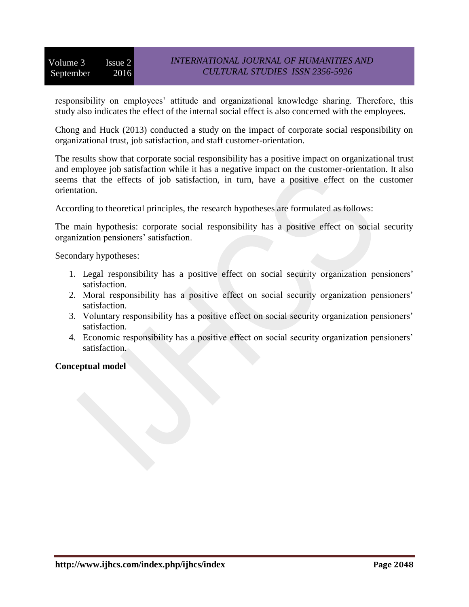# *INTERNATIONAL JOURNAL OF HUMANITIES AND CULTURAL STUDIES ISSN 2356-5926*

responsibility on employees' attitude and organizational knowledge sharing. Therefore, this study also indicates the effect of the internal social effect is also concerned with the employees.

Chong and Huck (2013) conducted a study on the impact of corporate social responsibility on organizational trust, job satisfaction, and staff customer-orientation.

The results show that corporate social responsibility has a positive impact on organizational trust and employee job satisfaction while it has a negative impact on the customer-orientation. It also seems that the effects of job satisfaction, in turn, have a positive effect on the customer orientation.

According to theoretical principles, the research hypotheses are formulated as follows:

The main hypothesis: corporate social responsibility has a positive effect on social security organization pensioners' satisfaction.

Secondary hypotheses:

- 1. Legal responsibility has a positive effect on social security organization pensioners' satisfaction.
- 2. Moral responsibility has a positive effect on social security organization pensioners' satisfaction.
- 3. Voluntary responsibility has a positive effect on social security organization pensioners' satisfaction.
- 4. Economic responsibility has a positive effect on social security organization pensioners' satisfaction.

# **Conceptual model**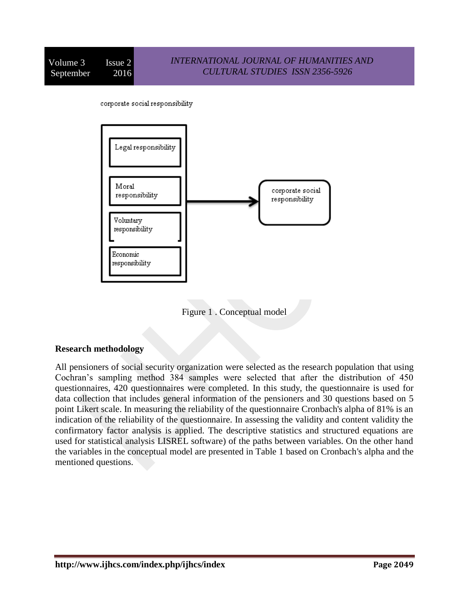corporate social responsibility



Figure 1 . Conceptual model

# **Research methodology**

All pensioners of social security organization were selected as the research population that using Cochran's sampling method 384 samples were selected that after the distribution of 450 questionnaires, 420 questionnaires were completed. In this study, the questionnaire is used for data collection that includes general information of the pensioners and 30 questions based on 5 point Likert scale. In measuring the reliability of the questionnaire Cronbach's alpha of 81% is an indication of the reliability of the questionnaire. In assessing the validity and content validity the confirmatory factor analysis is applied. The descriptive statistics and structured equations are used for statistical analysis LISREL software) of the paths between variables. On the other hand the variables in the conceptual model are presented in Table 1 based on Cronbach's alpha and the mentioned questions.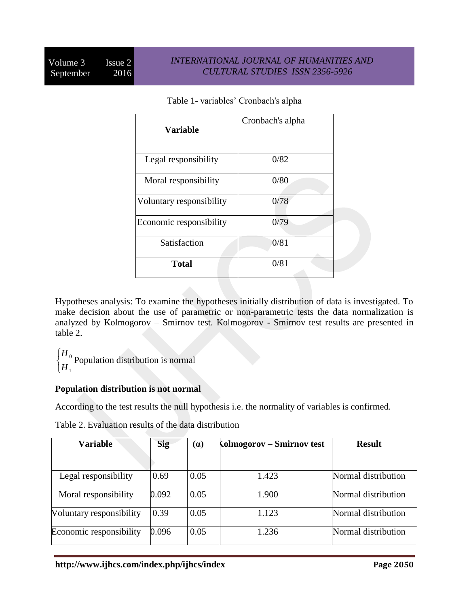| Variable                 | Cronbach's alpha |  |
|--------------------------|------------------|--|
| Legal responsibility     | 0/82             |  |
| Moral responsibility     | 0/80             |  |
| Voluntary responsibility | 0/78             |  |
| Economic responsibility  | 0/79             |  |
| Satisfaction             | 0/81             |  |
| <b>Total</b>             | 0/81             |  |

Table 1- variables' Cronbach's alpha

Hypotheses analysis: To examine the hypotheses initially distribution of data is investigated. To make decision about the use of parametric or non-parametric tests the data normalization is analyzed by Kolmogorov – Smirnov test. Kolmogorov - Smirnov test results are presented in table 2.

0 1 *H H*  $\int$ ↑  $\overline{\mathcal{L}}$ Population distribution is normal

# **Population distribution is not normal**

According to the test results the null hypothesis i.e. the normality of variables is confirmed.

| <b>Variable</b>          | <b>Sig</b> | (a)  | Kolmogorov – Smirnov test | <b>Result</b>       |
|--------------------------|------------|------|---------------------------|---------------------|
| Legal responsibility     | 0.69       | 0.05 | 1.423                     | Normal distribution |
| Moral responsibility     | 0.092      | 0.05 | 1.900                     | Normal distribution |
| Voluntary responsibility | 0.39       | 0.05 | 1.123                     | Normal distribution |
| Economic responsibility  | 0.096      | 0.05 | 1.236                     | Normal distribution |

Table 2. Evaluation results of the data distribution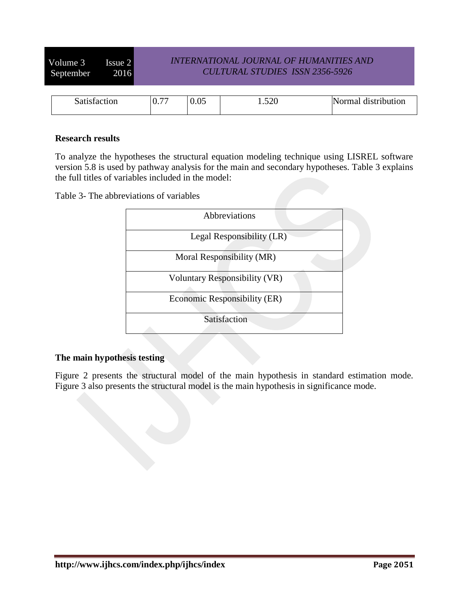Volume 3 Issue 2 September 2016

# *INTERNATIONAL JOURNAL OF HUMANITIES AND CULTURAL STUDIES ISSN 2356-5926*

| satistaction | $\overline{a}$<br>$\sim$<br>U.1 | $0.05\,$ | 500<br>1.320 | <b>Normal</b><br>distribution |
|--------------|---------------------------------|----------|--------------|-------------------------------|

### **Research results**

To analyze the hypotheses the structural equation modeling technique using LISREL software version 5.8 is used by pathway analysis for the main and secondary hypotheses. Table 3 explains the full titles of variables included in the model:

Table 3- The abbreviations of variables



# **The main hypothesis testing**

Figure 2 presents the structural model of the main hypothesis in standard estimation mode. Figure 3 also presents the structural model is the main hypothesis in significance mode.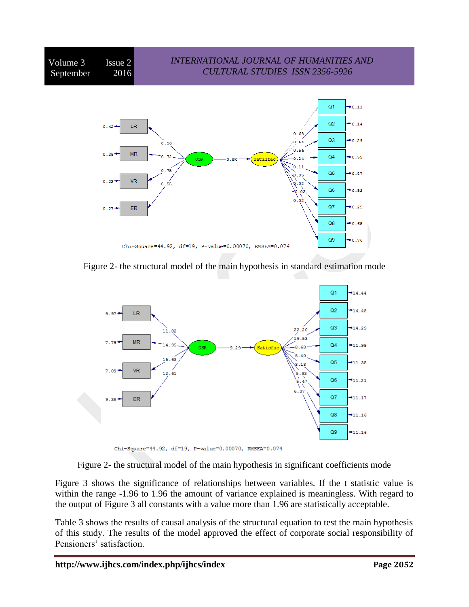

Figure 2- the structural model of the main hypothesis in standard estimation mode



Chi-Square=44.92, df=19, P-value=0.00070, RMSEA=0.074

Figure 2- the structural model of the main hypothesis in significant coefficients mode

Figure 3 shows the significance of relationships between variables. If the t statistic value is within the range -1.96 to 1.96 the amount of variance explained is meaningless. With regard to the output of Figure 3 all constants with a value more than 1.96 are statistically acceptable.

Table 3 shows the results of causal analysis of the structural equation to test the main hypothesis of this study. The results of the model approved the effect of corporate social responsibility of Pensioners' satisfaction.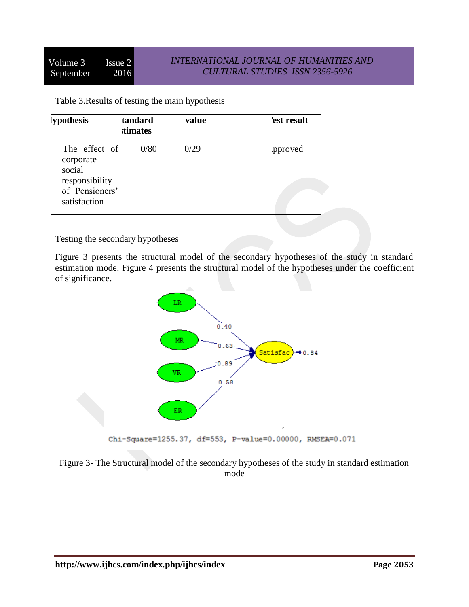Table 3.Results of testing the main hypothesis

| <i>s</i> iypothesis                                                                      | tandard<br><b>stimates</b> | value | est result |
|------------------------------------------------------------------------------------------|----------------------------|-------|------------|
| The effect of<br>corporate<br>social<br>responsibility<br>of Pensioners'<br>satisfaction | 0/80                       | 0/29  | pproved    |

Testing the secondary hypotheses

Figure 3 presents the structural model of the secondary hypotheses of the study in standard estimation mode. Figure 4 presents the structural model of the hypotheses under the coefficient of significance.



Chi-Square=1255.37, df=553, P-value=0.00000, RMSEA=0.071

Figure 3- The Structural model of the secondary hypotheses of the study in standard estimation mode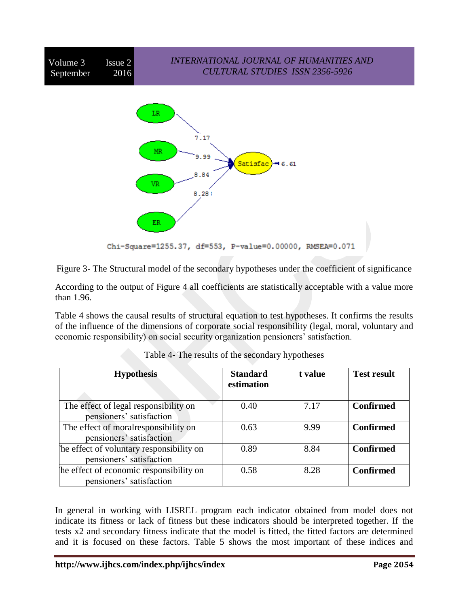

Figure 3- The Structural model of the secondary hypotheses under the coefficient of significance

According to the output of Figure 4 all coefficients are statistically acceptable with a value more than 1.96.

Table 4 shows the causal results of structural equation to test hypotheses. It confirms the results of the influence of the dimensions of corporate social responsibility (legal, moral, voluntary and economic responsibility) on social security organization pensioners' satisfaction.

| <b>Hypothesis</b>                                                     | <b>Standard</b><br>estimation | t value | <b>Test result</b> |
|-----------------------------------------------------------------------|-------------------------------|---------|--------------------|
| The effect of legal responsibility on<br>pensioners' satisfaction     | 0.40                          | 7.17    | <b>Confirmed</b>   |
| The effect of moral responsibility on<br>pensioners' satisfaction     | 0.63                          | 9.99    | <b>Confirmed</b>   |
| The effect of voluntary responsibility on<br>pensioners' satisfaction | 0.89                          | 8.84    | <b>Confirmed</b>   |
| The effect of economic responsibility on<br>pensioners' satisfaction  | 0.58                          | 8.28    | <b>Confirmed</b>   |

In general in working with LISREL program each indicator obtained from model does not indicate its fitness or lack of fitness but these indicators should be interpreted together. If the tests x2 and secondary fitness indicate that the model is fitted, the fitted factors are determined and it is focused on these factors. Table 5 shows the most important of these indices and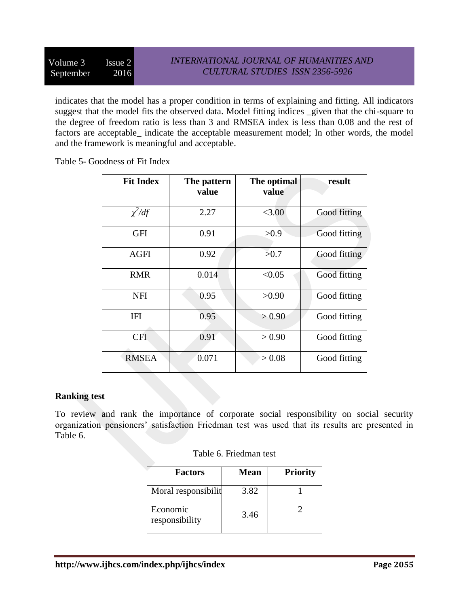indicates that the model has a proper condition in terms of explaining and fitting. All indicators suggest that the model fits the observed data. Model fitting indices \_given that the chi-square to the degree of freedom ratio is less than 3 and RMSEA index is less than 0.08 and the rest of factors are acceptable\_ indicate the acceptable measurement model; In other words, the model and the framework is meaningful and acceptable.

Table 5- Goodness of Fit Index

| <b>Fit Index</b> | The pattern<br>value | The optimal<br>value | result       |
|------------------|----------------------|----------------------|--------------|
| $\chi^2/df$      | 2.27                 | < 3.00               | Good fitting |
| <b>GFI</b>       | 0.91                 | >0.9                 | Good fitting |
| <b>AGFI</b>      | 0.92                 | >0.7                 | Good fitting |
| <b>RMR</b>       | 0.014                | < 0.05               | Good fitting |
| <b>NFI</b>       | 0.95                 | >0.90                | Good fitting |
| IFI              | 0.95                 | > 0.90               | Good fitting |
| <b>CFI</b>       | 0.91                 | > 0.90               | Good fitting |
| <b>RMSEA</b>     | 0.071                | > 0.08               | Good fitting |

# **Ranking test**

To review and rank the importance of corporate social responsibility on social security organization pensioners' satisfaction Friedman test was used that its results are presented in Table 6.

| <b>Factors</b>             | <b>Mean</b> | <b>Priority</b> |
|----------------------------|-------------|-----------------|
| Moral responsibilit        | 3.82        |                 |
| Economic<br>responsibility | 3.46        |                 |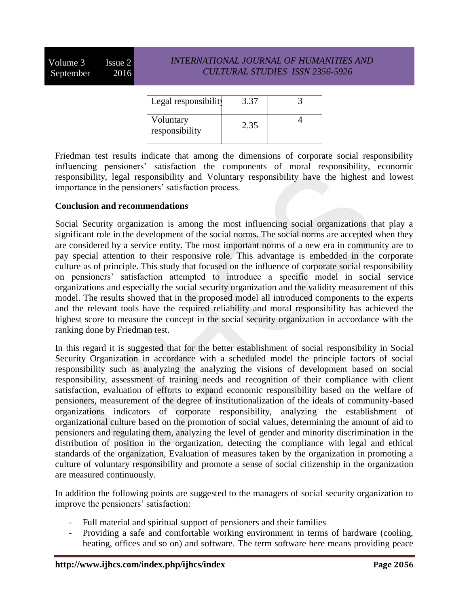Volume  $3$  Issue  $2$ September 2016

# *INTERNATIONAL JOURNAL OF HUMANITIES AND CULTURAL STUDIES ISSN 2356-5926*

| Legal responsibility        | 3.37 |  |
|-----------------------------|------|--|
| Voluntary<br>responsibility | 2.35 |  |

Friedman test results indicate that among the dimensions of corporate social responsibility influencing pensioners' satisfaction the components of moral responsibility, economic responsibility, legal responsibility and Voluntary responsibility have the highest and lowest importance in the pensioners' satisfaction process.

### **Conclusion and recommendations**

Social Security organization is among the most influencing social organizations that play a significant role in the development of the social norms. The social norms are accepted when they are considered by a service entity. The most important norms of a new era in community are to pay special attention to their responsive role. This advantage is embedded in the corporate culture as of principle. This study that focused on the influence of corporate social responsibility on pensioners' satisfaction attempted to introduce a specific model in social service organizations and especially the social security organization and the validity measurement of this model. The results showed that in the proposed model all introduced components to the experts and the relevant tools have the required reliability and moral responsibility has achieved the highest score to measure the concept in the social security organization in accordance with the ranking done by Friedman test.

In this regard it is suggested that for the better establishment of social responsibility in Social Security Organization in accordance with a scheduled model the principle factors of social responsibility such as analyzing the analyzing the visions of development based on social responsibility, assessment of training needs and recognition of their compliance with client satisfaction, evaluation of efforts to expand economic responsibility based on the welfare of pensioners, measurement of the degree of institutionalization of the ideals of community-based organizations indicators of corporate responsibility, analyzing the establishment of organizational culture based on the promotion of social values, determining the amount of aid to pensioners and regulating them, analyzing the level of gender and minority discrimination in the distribution of position in the organization, detecting the compliance with legal and ethical standards of the organization, Evaluation of measures taken by the organization in promoting a culture of voluntary responsibility and promote a sense of social citizenship in the organization are measured continuously.

In addition the following points are suggested to the managers of social security organization to improve the pensioners' satisfaction:

- Full material and spiritual support of pensioners and their families
- Providing a safe and comfortable working environment in terms of hardware (cooling, heating, offices and so on) and software. The term software here means providing peace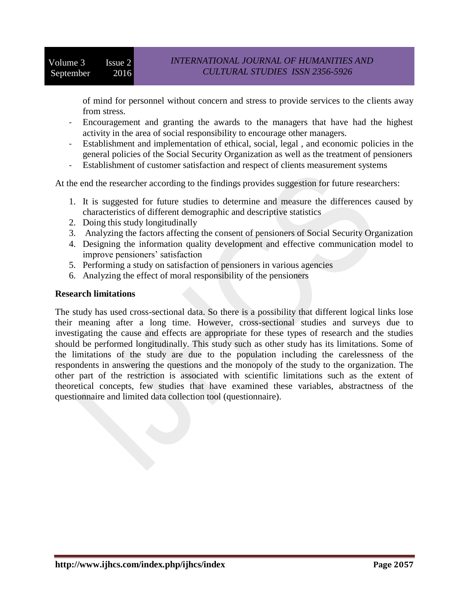of mind for personnel without concern and stress to provide services to the clients away from stress.

- Encouragement and granting the awards to the managers that have had the highest activity in the area of social responsibility to encourage other managers.
- Establishment and implementation of ethical, social, legal , and economic policies in the general policies of the Social Security Organization as well as the treatment of pensioners
- Establishment of customer satisfaction and respect of clients measurement systems

At the end the researcher according to the findings provides suggestion for future researchers:

- 1. It is suggested for future studies to determine and measure the differences caused by characteristics of different demographic and descriptive statistics
- 2. Doing this study longitudinally
- 3. Analyzing the factors affecting the consent of pensioners of Social Security Organization
- 4. Designing the information quality development and effective communication model to improve pensioners' satisfaction
- 5. Performing a study on satisfaction of pensioners in various agencies
- 6. Analyzing the effect of moral responsibility of the pensioners

# **Research limitations**

The study has used cross-sectional data. So there is a possibility that different logical links lose their meaning after a long time. However, cross-sectional studies and surveys due to investigating the cause and effects are appropriate for these types of research and the studies should be performed longitudinally. This study such as other study has its limitations. Some of the limitations of the study are due to the population including the carelessness of the respondents in answering the questions and the monopoly of the study to the organization. The other part of the restriction is associated with scientific limitations such as the extent of theoretical concepts, few studies that have examined these variables, abstractness of the questionnaire and limited data collection tool (questionnaire).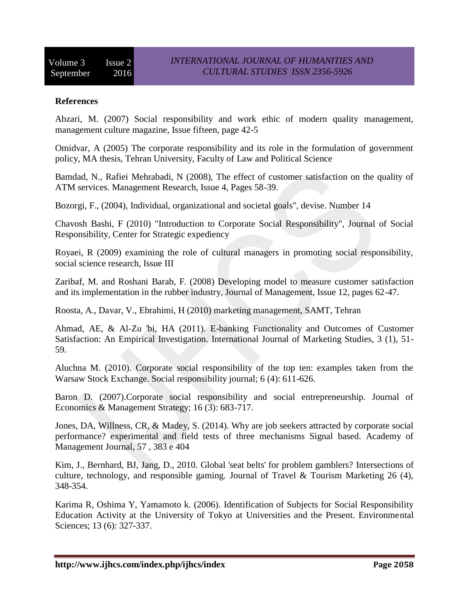### **References**

Abzari, M. (2007) Social responsibility and work ethic of modern quality management, management culture magazine, Issue fifteen, page 42-5

Omidvar, A (2005) The corporate responsibility and its role in the formulation of government policy, MA thesis, Tehran University, Faculty of Law and Political Science

Bamdad, N., Rafiei Mehrabadi, N (2008), The effect of customer satisfaction on the quality of ATM services. Management Research, Issue 4, Pages 58-39.

Bozorgi, F., (2004), Individual, organizational and societal goals", devise. Number 14

Chavosh Bashi, F (2010) "Introduction to Corporate Social Responsibility", Journal of Social Responsibility, Center for Strategic expediency

Royaei, R (2009) examining the role of cultural managers in promoting social responsibility, social science research, Issue III

Zaribaf, M. and Roshani Barab, F. (2008) Developing model to measure customer satisfaction and its implementation in the rubber industry, Journal of Management, Issue 12, pages 62-47.

Roosta, A., Davar, V., Ebrahimi, H (2010) marketing management, SAMT, Tehran

Ahmad, AE, & Al-Zu 'bi, HA (2011). E-banking Functionality and Outcomes of Customer Satisfaction: An Empirical Investigation. International Journal of Marketing Studies, 3 (1), 51- 59.

Aluchna M. (2010). Corporate social responsibility of the top ten: examples taken from the Warsaw Stock Exchange. Social responsibility journal; 6 (4): 611-626.

Baron D. (2007).Corporate social responsibility and social entrepreneurship. Journal of Economics & Management Strategy; 16 (3): 683-717.

Jones, DA, Willness, CR, & Madey, S. (2014). Why are job seekers attracted by corporate social performance? experimental and field tests of three mechanisms Signal based. Academy of Management Journal, 57 , 383 e 404

Kim, J., Bernhard, BJ, Jang, D., 2010. Global 'seat belts' for problem gamblers? Intersections of culture, technology, and responsible gaming. Journal of Travel & Tourism Marketing 26 (4), 348-354.

Karima R, Oshima Y, Yamamoto k. (2006). Identification of Subjects for Social Responsibility Education Activity at the University of Tokyo at Universities and the Present. Environmental Sciences; 13 (6): 327-337.